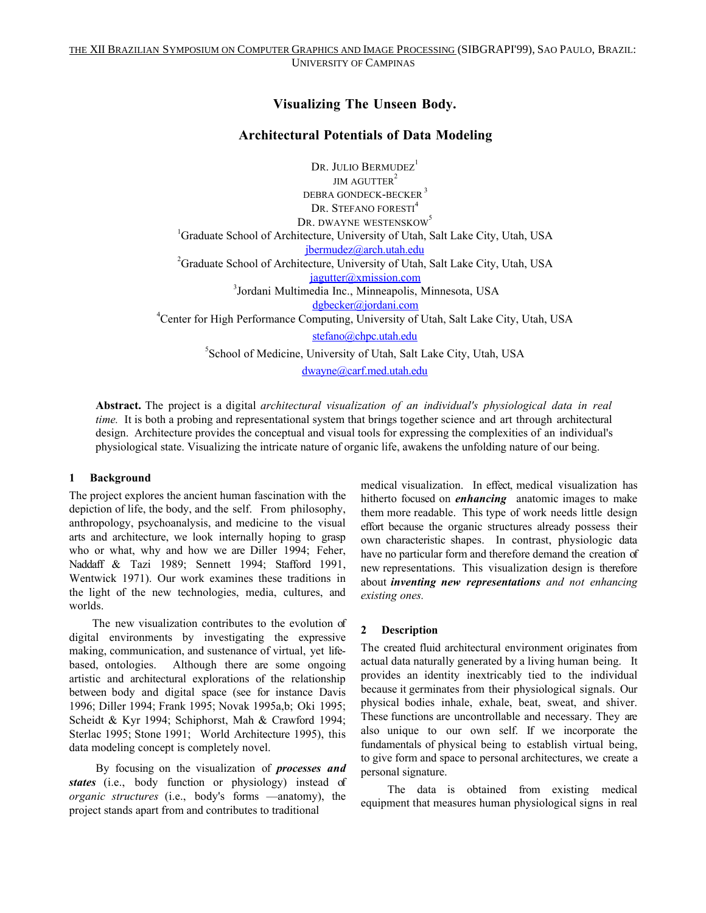# **Visualizing The Unseen Body.**

## **Architectural Potentials of Data Modeling**

DR. JULIO BERMUDEZ<sup>1</sup>  $IM$  AGUTTER<sup>2</sup> DEBRA GONDECK-BECKER<sup>3</sup> DR. STEFANO FORESTI<sup>4</sup> DR. DWAYNE WESTENSKOW<sup>5</sup> <sup>1</sup>Graduate School of Architecture, University of Utah, Salt Lake City, Utah, USA jbermudez@arch.utah.edu<br>
<sup>2</sup>Graduate School of Architecture, University of Utah, Salt Lake City, Utah, USA jagutter@xmission.com<br><sup>3</sup>Jordani Multimedia Inc., Minneapolis, Minnesota, USA dgbecker@jordani.com<br>
<sup>4</sup>Center for High Performance Computing, University of Utah, Salt Lake City, Utah, USA stefano@chpc.utah.edu 5 School of Medicine, University of Utah, Salt Lake City, Utah, USA

dwayne@carf.med.utah.edu

**Abstract.** The project is a digital *architectural visualization of an individual's physiological data in real time.* It is both a probing and representational system that brings together science and art through architectural design. Architecture provides the conceptual and visual tools for expressing the complexities of an individual's physiological state. Visualizing the intricate nature of organic life, awakens the unfolding nature of our being.

## **1 Background**

The project explores the ancient human fascination with the depiction of life, the body, and the self. From philosophy, anthropology, psychoanalysis, and medicine to the visual arts and architecture, we look internally hoping to grasp who or what, why and how we are Diller 1994; Feher, Naddaff & Tazi 1989; Sennett 1994; Stafford 1991, Wentwick 1971). Our work examines these traditions in the light of the new technologies, media, cultures, and worlds.

The new visualization contributes to the evolution of digital environments by investigating the expressive making, communication, and sustenance of virtual, yet lifebased, ontologies. Although there are some ongoing artistic and architectural explorations of the relationship between body and digital space (see for instance Davis 1996; Diller 1994; Frank 1995; Novak 1995a,b; Oki 1995; Scheidt & Kyr 1994; Schiphorst, Mah & Crawford 1994; Sterlac 1995; Stone 1991; World Architecture 1995), this data modeling concept is completely novel.

 By focusing on the visualization of *processes and states* (i.e., body function or physiology) instead of *organic structures* (i.e., body's forms —anatomy), the project stands apart from and contributes to traditional

medical visualization. In effect, medical visualization has hitherto focused on *enhancing* anatomic images to make them more readable. This type of work needs little design effort because the organic structures already possess their own characteristic shapes. In contrast, physiologic data have no particular form and therefore demand the creation of new representations. This visualization design is therefore about *inventing new representations and not enhancing existing ones.*

## **2 Description**

The created fluid architectural environment originates from actual data naturally generated by a living human being. It provides an identity inextricably tied to the individual because it germinates from their physiological signals. Our physical bodies inhale, exhale, beat, sweat, and shiver. These functions are uncontrollable and necessary. They are also unique to our own self. If we incorporate the fundamentals of physical being to establish virtual being, to give form and space to personal architectures, we create a personal signature.

 The data is obtained from existing medical equipment that measures human physiological signs in real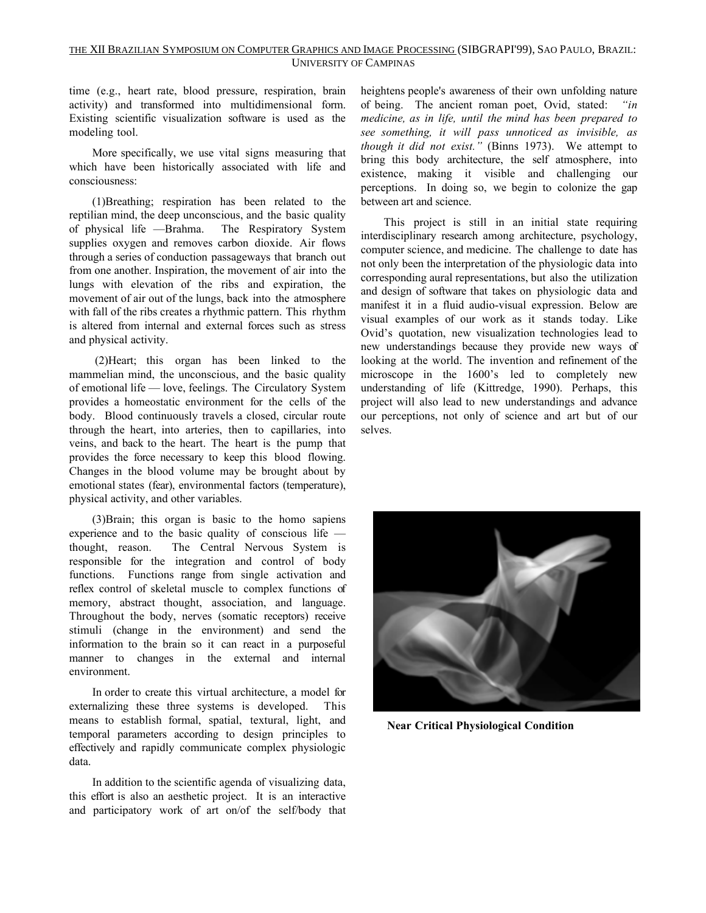### THE XII BRAZILIAN SYMPOSIUM ON COMPUTER GRAPHICS AND IMAGE PROCESSING (SIBGRAPI'99), SAO PAULO, BRAZIL: UNIVERSITY OF CAMPINAS

time (e.g., heart rate, blood pressure, respiration, brain activity) and transformed into multidimensional form. Existing scientific visualization software is used as the modeling tool.

More specifically, we use vital signs measuring that which have been historically associated with life and consciousness:

(1)Breathing; respiration has been related to the reptilian mind, the deep unconscious, and the basic quality of physical life —Brahma. The Respiratory System supplies oxygen and removes carbon dioxide. Air flows through a series of conduction passageways that branch out from one another. Inspiration, the movement of air into the lungs with elevation of the ribs and expiration, the movement of air out of the lungs, back into the atmosphere with fall of the ribs creates a rhythmic pattern. This rhythm is altered from internal and external forces such as stress and physical activity.

 (2)Heart; this organ has been linked to the mammelian mind, the unconscious, and the basic quality of emotional life — love, feelings. The Circulatory System provides a homeostatic environment for the cells of the body. Blood continuously travels a closed, circular route through the heart, into arteries, then to capillaries, into veins, and back to the heart. The heart is the pump that provides the force necessary to keep this blood flowing. Changes in the blood volume may be brought about by emotional states (fear), environmental factors (temperature), physical activity, and other variables.

(3)Brain; this organ is basic to the homo sapiens experience and to the basic quality of conscious life thought, reason. The Central Nervous System is responsible for the integration and control of body functions. Functions range from single activation and reflex control of skeletal muscle to complex functions of memory, abstract thought, association, and language. Throughout the body, nerves (somatic receptors) receive stimuli (change in the environment) and send the information to the brain so it can react in a purposeful manner to changes in the external and internal environment.

In order to create this virtual architecture, a model for externalizing these three systems is developed. This means to establish formal, spatial, textural, light, and temporal parameters according to design principles to effectively and rapidly communicate complex physiologic data.

In addition to the scientific agenda of visualizing data, this effort is also an aesthetic project. It is an interactive and participatory work of art on/of the self/body that heightens people's awareness of their own unfolding nature of being. The ancient roman poet, Ovid, stated: *"in medicine, as in life, until the mind has been prepared to see something, it will pass unnoticed as invisible, as though it did not exist."* (Binns 1973). We attempt to bring this body architecture, the self atmosphere, into existence, making it visible and challenging our perceptions. In doing so, we begin to colonize the gap between art and science.

This project is still in an initial state requiring interdisciplinary research among architecture, psychology, computer science, and medicine. The challenge to date has not only been the interpretation of the physiologic data into corresponding aural representations, but also the utilization and design of software that takes on physiologic data and manifest it in a fluid audio-visual expression. Below are visual examples of our work as it stands today. Like Ovid's quotation, new visualization technologies lead to new understandings because they provide new ways of looking at the world. The invention and refinement of the microscope in the 1600's led to completely new understanding of life (Kittredge, 1990). Perhaps, this project will also lead to new understandings and advance our perceptions, not only of science and art but of our selves.



 **Near Critical Physiological Condition**